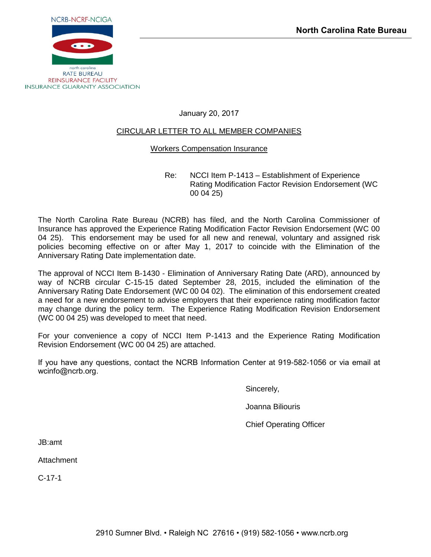

January 20, 2017

# CIRCULAR LETTER TO ALL MEMBER COMPANIES

# Workers Compensation Insurance

Re: NCCI Item P-1413 – Establishment of Experience Rating Modification Factor Revision Endorsement (WC 00 04 25)

The North Carolina Rate Bureau (NCRB) has filed, and the North Carolina Commissioner of Insurance has approved the Experience Rating Modification Factor Revision Endorsement (WC 00 04 25). This endorsement may be used for all new and renewal, voluntary and assigned risk policies becoming effective on or after May 1, 2017 to coincide with the Elimination of the Anniversary Rating Date implementation date.

The approval of NCCI Item B-1430 - Elimination of Anniversary Rating Date (ARD), announced by way of NCRB circular C-15-15 dated September 28, 2015, included the elimination of the Anniversary Rating Date Endorsement (WC 00 04 02). The elimination of this endorsement created a need for a new endorsement to advise employers that their experience rating modification factor may change during the policy term. The Experience Rating Modification Revision Endorsement (WC 00 04 25) was developed to meet that need.

For your convenience a copy of NCCI Item P-1413 and the Experience Rating Modification Revision Endorsement (WC 00 04 25) are attached.

If you have any questions, contact the NCRB Information Center at 919-582-1056 or via email at wcinfo@ncrb.org.

Sincerely,

Joanna Biliouris

Chief Operating Officer

JB:amt

Attachment

C-17-1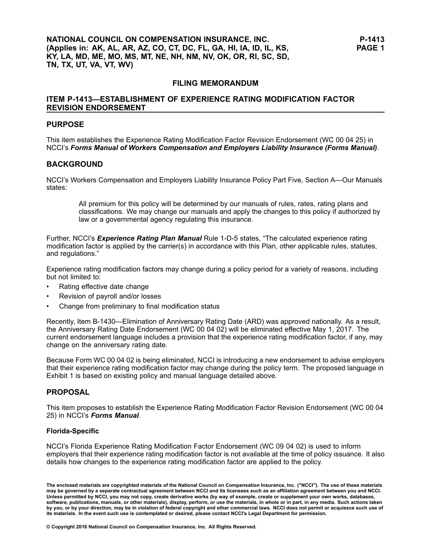### **FILING MEMORANDUM**

## **ITEM P-1413—ESTABLISHMENT OF EXPERIENCE RATING MODIFICATION FACTOR REVISION ENDORSEMENT**

#### **PURPOSE**

This item establishes the Experience Rating Modification Factor Revision Endorsement (WC 00 04 25) in NCCI's *Forms Manual of Workers Compensation and Employers Liability Insurance (Forms Manual)*.

#### **BACKGROUND**

NCCI's Workers Compensation and Employers Liability Insurance Policy Part Five, Section A—Our Manuals states:

All premium for this policy will be determined by our manuals of rules, rates, rating plans and classifications. We may change our manuals and apply the changes to this policy if authorized by law or <sup>a</sup> governmental agency regulating this insurance.

Further, NCCI's *Experience Rating Plan Manual* Rule 1-D-5 states, "The calculated experience rating modification factor is applied by the carrier(s) in accordance with this Plan, other applicable rules, statutes, and regulations."

Experience rating modification factors may change during <sup>a</sup> policy period for <sup>a</sup> variety of reasons, including but not limited to:

- •Rating effective date change
- •Revision of payroll and/or losses
- •Change from preliminary to final modification status

Recently, Item B-1430—Elimination of Anniversary Rating Date (ARD) was approved nationally. As <sup>a</sup> result, the Anniversary Rating Date Endorsement (WC 00 04 02) will be eliminated effective May 1, 2017. The current endorsement language includes <sup>a</sup> provision that the experience rating modification factor, if any, may change on the anniversary rating date.

Because Form WC 00 04 02 is being eliminated, NCCI is introducing <sup>a</sup> new endorsement to advise employers that their experience rating modification factor may change during the policy term. The proposed language in Exhibit 1 is based on existing policy and manual language detailed above.

### **PROPOSAL**

This item proposes to establish the Experience Rating Modification Factor Revision Endorsement (WC 00 04 25) in NCCI's *Forms Manual*.

#### **Florida-Specific**

NCCI's Florida Experience Rating Modification Factor Endorsement (WC 09 04 02) is used to inform employers that their experience rating modification factor is not available at the time of policy issuance. It also details how changes to the experience rating modification factor are applied to the policy.

The enclosed materials are copyrighted materials of the National Council on Compensation Insurance, Inc. ("NCCI"). The use of these materials may be governed by a separate contractual agreement between NCCI and its licensees such as an affiliation agreement between you and NCCI. Unless permitted by NCCI, you may not copy, create derivative works (by way of example, create or supplement your own works, databases, software, publications, manuals, or other materials), display, perform, or use the materials, in whole or in part, in any media. Such actions taken by you, or by your direction, may be in violation of federal copyright and other commercial laws. NCCI does not permit or acquiesce such use of its materials. In the event such use is contemplated or desired, please contact NCCI's Legal Department for permission.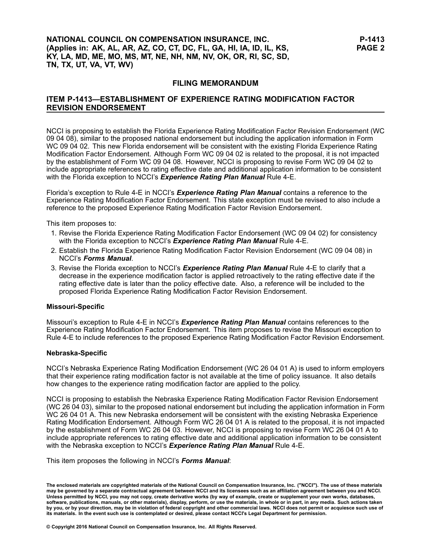## **NATIONAL COUNCIL ON COMPENSATION INSURANCE, INC. (Applies in: AK, AL, AR, AZ, CO, CT, DC, FL, GA, HI, IA, ID, IL, KS, KY, LA, MD, ME, MO, MS, MT, NE, NH, NM, NV, OK, OR, RI, SC, SD, TN, TX, UT, VA, VT, WV)**

### **FILING MEMORANDUM**

## **ITEM P-1413—ESTABLISHMENT OF EXPERIENCE RATING MODIFICATION FACTOR REVISION ENDORSEMENT**

NCCI is proposing to establish the Florida Experience Rating Modification Factor Revision Endorsement (WC 09 04 08), similar to the proposed national endorsement but including the application information in Form WC 09 04 02. This new Florida endorsement will be consistent with the existing Florida Experience Rating Modification Factor Endorsement. Although Form WC 09 04 02 is related to the proposal, it is not impacted by the establishment of Form WC 09 04 08. However, NCCI is proposing to revise Form WC 09 04 02 to include appropriate references to rating effective date and additional application information to be consistent with the Florida exception to NCCI's *Experience Rating Plan Manual* Rule 4-E.

Florida's exception to Rule 4-E in NCCI's *Experience Rating Plan Manual* contains <sup>a</sup> reference to the Experience Rating Modification Factor Endorsement. This state exception must be revised to also include <sup>a</sup> reference to the proposed Experience Rating Modification Factor Revision Endorsement.

This item proposes to:

- 1. Revise the Florida Experience Rating Modification Factor Endorsement (WC 09 04 02) for consistency with the Florida exception to NCCI's *Experience Rating Plan Manual* Rule 4-E.
- 2. Establish the Florida Experience Rating Modification Factor Revision Endorsement (WC 09 04 08) in NCCI's *Forms Manual*.
- 3. Revise the Florida exception to NCCI's *Experience Rating Plan Manual* Rule 4-E to clarify that <sup>a</sup> decrease in the experience modification factor is applied retroactively to the rating effective date if the rating effective date is later than the policy effective date. Also, <sup>a</sup> reference will be included to the proposed Florida Experience Rating Modification Factor Revision Endorsement.

#### **Missouri-Specific**

Missouri's exception to Rule 4-E in NCCI's *Experience Rating Plan Manual* contains references to the Experience Rating Modification Factor Endorsement. This item proposes to revise the Missouri exception to Rule 4-E to include references to the proposed Experience Rating Modification Factor Revision Endorsement.

#### **Nebraska-Specific**

NCCI's Nebraska Experience Rating Modification Endorsement (WC 26 04 01 A) is used to inform employers that their experience rating modification factor is not available at the time of policy issuance. It also details how changes to the experience rating modification factor are applied to the policy.

NCCI is proposing to establish the Nebraska Experience Rating Modification Factor Revision Endorsement (WC 26 04 03), similar to the proposed national endorsement but including the application information in Form WC 26 04 01 A. This new Nebraska endorsement will be consistent with the existing Nebraska Experience Rating Modification Endorsement. Although Form WC 26 04 01 A is related to the proposal, it is not impacted by the establishment of Form WC 26 04 03. However, NCCI is proposing to revise Form WC 26 04 01 A to include appropriate references to rating effective date and additional application information to be consistent with the Nebraska exception to NCCI's *Experience Rating Plan Manual* Rule 4-E.

This item proposes the following in NCCI's *Forms Manual*:

The enclosed materials are copyrighted materials of the National Council on Compensation Insurance, Inc. ("NCCI"). The use of these materials may be governed by a separate contractual agreement between NCCI and its licensees such as an affiliation agreement between you and NCCI. Unless permitted by NCCI, you may not copy, create derivative works (by way of example, create or supplement your own works, databases, software, publications, manuals, or other materials), display, perform, or use the materials, in whole or in part, in any media. Such actions taken by you, or by your direction, may be in violation of federal copyright and other commercial laws. NCCI does not permit or acquiesce such use of its materials. In the event such use is contemplated or desired, please contact NCCI's Legal Department for permission.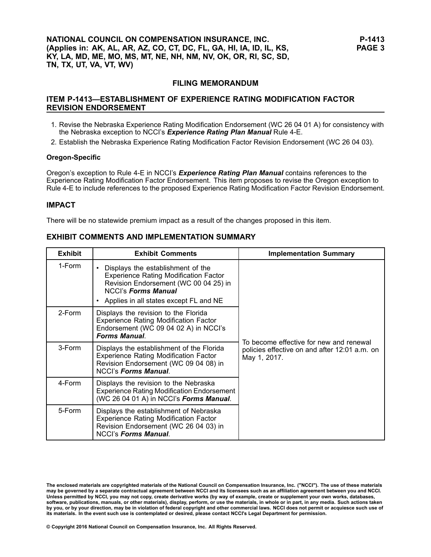### **FILING MEMORANDUM**

## **ITEM P-1413—ESTABLISHMENT OF EXPERIENCE RATING MODIFICATION FACTOR REVISION ENDORSEMENT**

- 1. Revise the Nebraska Experience Rating Modification Endorsement (WC 26 04 01 A) for consistency with the Nebraska exception to NCCI's *Experience Rating Plan Manual* Rule 4-E.
- 2. Establish the Nebraska Experience Rating Modification Factor Revision Endorsement (WC 26 04 03).

#### **Oregon-Specific**

Oregon's exception to Rule 4-E in NCCI's *Experience Rating Plan Manual* contains references to the Experience Rating Modification Factor Endorsement. This item proposes to revise the Oregon exception to Rule 4-E to include references to the proposed Experience Rating Modification Factor Revision Endorsement.

### **IMPACT**

There will be no statewide premium impact as <sup>a</sup> result of the changes proposed in this item.

| <b>Exhibit</b> | <b>Exhibit Comments</b>                                                                                                                                                                                           | <b>Implementation Summary</b>                                                                            |
|----------------|-------------------------------------------------------------------------------------------------------------------------------------------------------------------------------------------------------------------|----------------------------------------------------------------------------------------------------------|
| 1-Form         | • Displays the establishment of the<br><b>Experience Rating Modification Factor</b><br>Revision Endorsement (WC 00 04 25) in<br><b>NCCI's Forms Manual</b><br>Applies in all states except FL and NE<br>$\bullet$ | To become effective for new and renewal<br>policies effective on and after 12:01 a.m. on<br>May 1, 2017. |
| 2-Form         | Displays the revision to the Florida<br><b>Experience Rating Modification Factor</b><br>Endorsement (WC 09 04 02 A) in NCCI's<br><b>Forms Manual.</b>                                                             |                                                                                                          |
| 3-Form         | Displays the establishment of the Florida<br><b>Experience Rating Modification Factor</b><br>Revision Endorsement (WC 09 04 08) in<br><b>NCCI's Forms Manual.</b>                                                 |                                                                                                          |
| 4-Form         | Displays the revision to the Nebraska<br><b>Experience Rating Modification Endorsement</b><br>(WC 26 04 01 A) in NCCl's Forms Manual.                                                                             |                                                                                                          |
| 5-Form         | Displays the establishment of Nebraska<br><b>Experience Rating Modification Factor</b><br>Revision Endorsement (WC 26 04 03) in<br><b>NCCI's Forms Manual.</b>                                                    |                                                                                                          |

## **EXHIBIT COMMENTS AND IMPLEMENTATION SUMMARY**

The enclosed materials are copyrighted materials of the National Council on Compensation Insurance, Inc. ("NCCI"). The use of these materials<br>may be governed by a separate contractual agreement between NCCI and its license Unless permitted by NCCI, you may not copy, create derivative works (by way of example, create or supplement your own works, databases, software, publications, manuals, or other materials), display, perform, or use the materials, in whole or in part, in any media. Such actions taken by you, or by your direction, may be in violation of federal copyright and other commercial laws. NCCI does not permit or acquiesce such use of its materials. In the event such use is contemplated or desired, please contact NCCI's Legal Department for permission.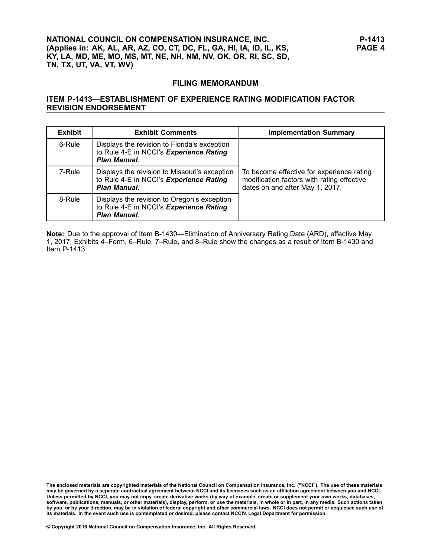### **FILING MEMORANDUM**

### **ITEM P-1413—ESTABLISHMENT OF EXPERIENCE RATING MODIFICATION FACTOR REVISION ENDORSEMENT**

| <b>Exhibit</b> | <b>Exhibit Comments</b>                                                                                  | <b>Implementation Summary</b>                                                                                              |
|----------------|----------------------------------------------------------------------------------------------------------|----------------------------------------------------------------------------------------------------------------------------|
| 6-Rule         | Displays the revision to Florida's exception<br>to Rule 4-E in NCCl's Experience Rating<br>Plan Manual.  |                                                                                                                            |
| 7-Rule         | Displays the revision to Missouri's exception<br>to Rule 4-E in NCCl's Experience Rating<br>Plan Manual. | To become effective for experience rating<br>modification factors with rating effective<br>dates on and after May 1, 2017. |
| 8-Rule         | Displays the revision to Oregon's exception<br>to Rule 4-E in NCCI's Experience Rating<br>Plan Manual.   |                                                                                                                            |

**Note:** Due to the approval of Item B-1430—Elimination of Anniversary Rating Date (ARD), effective May 1, 2017, Exhibits 4–Form, 6–Rule, 7–Rule, and 8–Rule show the changes as <sup>a</sup> result of Item B-1430 and Item P-1413.

The enclosed materials are copyrighted materials of the National Council on Compensation Insurance, Inc. ("NCCI"). The use of these materials<br>may be governed by a separate contractual agreement between NCCI and its license Unless permitted by NCCI, you may not copy, create derivative works (by way of example, create or supplement your own works, databases, software, publications, manuals, or other materials), display, perform, or use the materials, in whole or in part, in any media. Such actions taken by you, or by your direction, may be in violation of federal copyright and other commercial laws. NCCI does not permit or acquiesce such use of its materials. In the event such use is contemplated or desired, please contact NCCI's Legal Department for permission.